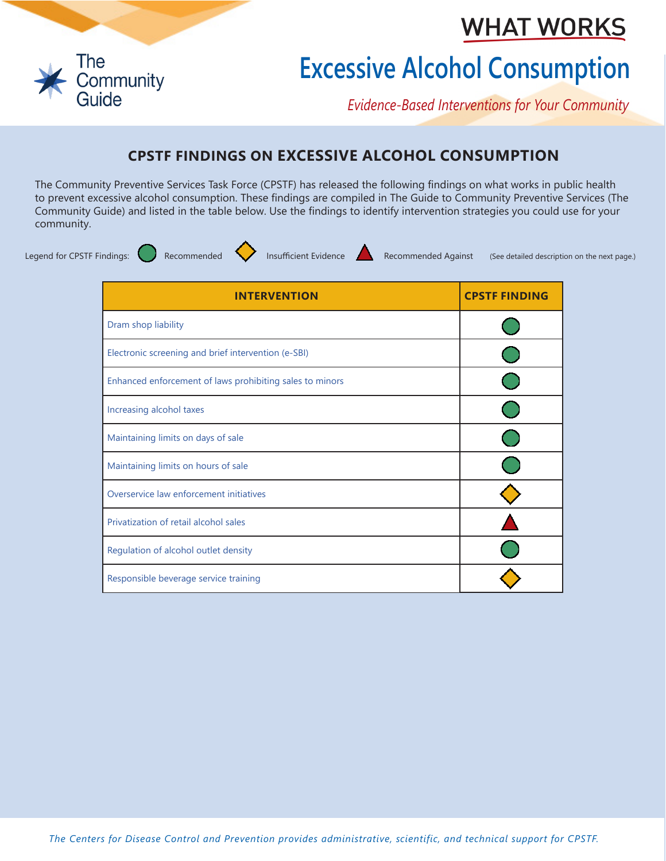## **WHAT WORKS**



## **Excessive Alcohol Consumption**

*Evidence-Based Interventions for Your Community*

## **CPSTF FINDINGS ON EXCESSIVE ALCOHOL CONSUMPTION**

The Community Preventive Services Task Force (CPSTF) has released the following findings on what works in public health to prevent excessive alcohol consumption. These findings are compiled in The Guide to Community Preventive Services (The Community Guide) and listed in the table below. Use the findings to identify intervention strategies you could use for your community.



Legend for CPSTF Findings: Recommended **Insufficient Evidence** Recommended Against (See detailed description on the next page.)

| <b>INTERVENTION</b>                                      | <b>CPSTF FINDING</b> |
|----------------------------------------------------------|----------------------|
| Dram shop liability                                      |                      |
| Electronic screening and brief intervention (e-SBI)      |                      |
| Enhanced enforcement of laws prohibiting sales to minors |                      |
| Increasing alcohol taxes                                 |                      |
| Maintaining limits on days of sale                       |                      |
| Maintaining limits on hours of sale                      |                      |
| Overservice law enforcement initiatives                  |                      |
| Privatization of retail alcohol sales                    |                      |
| Regulation of alcohol outlet density                     |                      |
| Responsible beverage service training                    |                      |